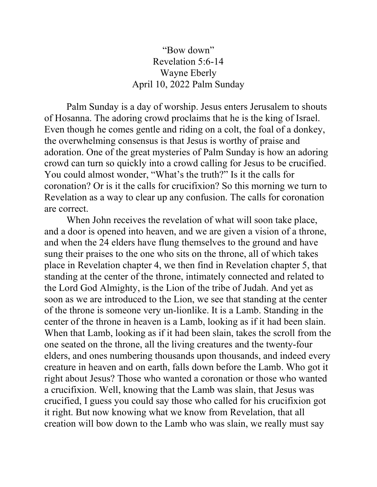## "Bow down" Revelation 5:6-14 Wayne Eberly April 10, 2022 Palm Sunday

 Palm Sunday is a day of worship. Jesus enters Jerusalem to shouts of Hosanna. The adoring crowd proclaims that he is the king of Israel. Even though he comes gentle and riding on a colt, the foal of a donkey, the overwhelming consensus is that Jesus is worthy of praise and adoration. One of the great mysteries of Palm Sunday is how an adoring crowd can turn so quickly into a crowd calling for Jesus to be crucified. You could almost wonder, "What's the truth?" Is it the calls for coronation? Or is it the calls for crucifixion? So this morning we turn to Revelation as a way to clear up any confusion. The calls for coronation are correct.

When John receives the revelation of what will soon take place, and a door is opened into heaven, and we are given a vision of a throne, and when the 24 elders have flung themselves to the ground and have sung their praises to the one who sits on the throne, all of which takes place in Revelation chapter 4, we then find in Revelation chapter 5, that standing at the center of the throne, intimately connected and related to the Lord God Almighty, is the Lion of the tribe of Judah. And yet as soon as we are introduced to the Lion, we see that standing at the center of the throne is someone very un-lionlike. It is a Lamb. Standing in the center of the throne in heaven is a Lamb, looking as if it had been slain. When that Lamb, looking as if it had been slain, takes the scroll from the one seated on the throne, all the living creatures and the twenty-four elders, and ones numbering thousands upon thousands, and indeed every creature in heaven and on earth, falls down before the Lamb. Who got it right about Jesus? Those who wanted a coronation or those who wanted a crucifixion. Well, knowing that the Lamb was slain, that Jesus was crucified, I guess you could say those who called for his crucifixion got it right. But now knowing what we know from Revelation, that all creation will bow down to the Lamb who was slain, we really must say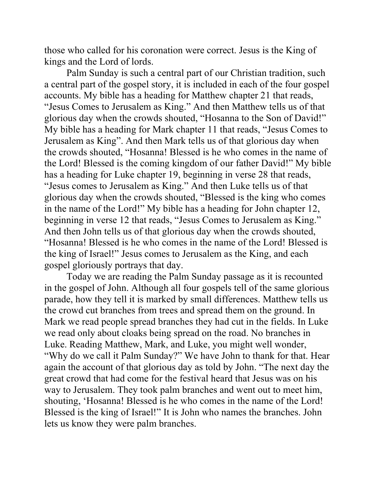those who called for his coronation were correct. Jesus is the King of kings and the Lord of lords.

 Palm Sunday is such a central part of our Christian tradition, such a central part of the gospel story, it is included in each of the four gospel accounts. My bible has a heading for Matthew chapter 21 that reads, "Jesus Comes to Jerusalem as King." And then Matthew tells us of that glorious day when the crowds shouted, "Hosanna to the Son of David!" My bible has a heading for Mark chapter 11 that reads, "Jesus Comes to Jerusalem as King". And then Mark tells us of that glorious day when the crowds shouted, "Hosanna! Blessed is he who comes in the name of the Lord! Blessed is the coming kingdom of our father David!" My bible has a heading for Luke chapter 19, beginning in verse 28 that reads, "Jesus comes to Jerusalem as King." And then Luke tells us of that glorious day when the crowds shouted, "Blessed is the king who comes in the name of the Lord!" My bible has a heading for John chapter 12, beginning in verse 12 that reads, "Jesus Comes to Jerusalem as King." And then John tells us of that glorious day when the crowds shouted, "Hosanna! Blessed is he who comes in the name of the Lord! Blessed is the king of Israel!" Jesus comes to Jerusalem as the King, and each gospel gloriously portrays that day.

 Today we are reading the Palm Sunday passage as it is recounted in the gospel of John. Although all four gospels tell of the same glorious parade, how they tell it is marked by small differences. Matthew tells us the crowd cut branches from trees and spread them on the ground. In Mark we read people spread branches they had cut in the fields. In Luke we read only about cloaks being spread on the road. No branches in Luke. Reading Matthew, Mark, and Luke, you might well wonder, "Why do we call it Palm Sunday?" We have John to thank for that. Hear again the account of that glorious day as told by John. "The next day the great crowd that had come for the festival heard that Jesus was on his way to Jerusalem. They took palm branches and went out to meet him, shouting, 'Hosanna! Blessed is he who comes in the name of the Lord! Blessed is the king of Israel!" It is John who names the branches. John lets us know they were palm branches.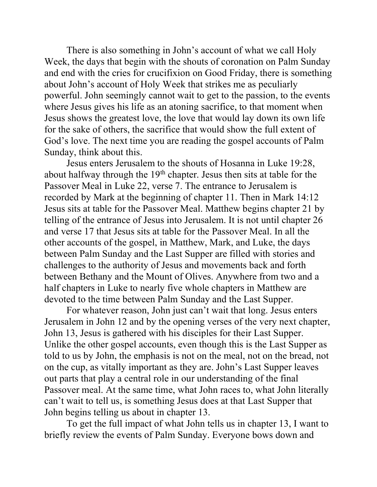There is also something in John's account of what we call Holy Week, the days that begin with the shouts of coronation on Palm Sunday and end with the cries for crucifixion on Good Friday, there is something about John's account of Holy Week that strikes me as peculiarly powerful. John seemingly cannot wait to get to the passion, to the events where Jesus gives his life as an atoning sacrifice, to that moment when Jesus shows the greatest love, the love that would lay down its own life for the sake of others, the sacrifice that would show the full extent of God's love. The next time you are reading the gospel accounts of Palm Sunday, think about this.

Jesus enters Jerusalem to the shouts of Hosanna in Luke 19:28, about halfway through the  $19<sup>th</sup>$  chapter. Jesus then sits at table for the Passover Meal in Luke 22, verse 7. The entrance to Jerusalem is recorded by Mark at the beginning of chapter 11. Then in Mark 14:12 Jesus sits at table for the Passover Meal. Matthew begins chapter 21 by telling of the entrance of Jesus into Jerusalem. It is not until chapter 26 and verse 17 that Jesus sits at table for the Passover Meal. In all the other accounts of the gospel, in Matthew, Mark, and Luke, the days between Palm Sunday and the Last Supper are filled with stories and challenges to the authority of Jesus and movements back and forth between Bethany and the Mount of Olives. Anywhere from two and a half chapters in Luke to nearly five whole chapters in Matthew are devoted to the time between Palm Sunday and the Last Supper.

For whatever reason, John just can't wait that long. Jesus enters Jerusalem in John 12 and by the opening verses of the very next chapter, John 13, Jesus is gathered with his disciples for their Last Supper. Unlike the other gospel accounts, even though this is the Last Supper as told to us by John, the emphasis is not on the meal, not on the bread, not on the cup, as vitally important as they are. John's Last Supper leaves out parts that play a central role in our understanding of the final Passover meal. At the same time, what John races to, what John literally can't wait to tell us, is something Jesus does at that Last Supper that John begins telling us about in chapter 13.

To get the full impact of what John tells us in chapter 13, I want to briefly review the events of Palm Sunday. Everyone bows down and